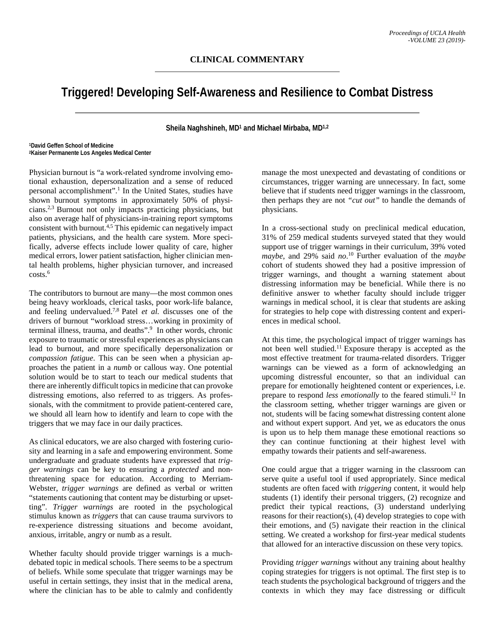## **Triggered! Developing Self-Awareness and Resilience to Combat Distress**

**Sheila Naghshineh, MD1 and Michael Mirbaba, MD1,2**

**1David Geffen School of Medicine 2Kaiser Permanente Los Angeles Medical Center**

Physician burnout is "a work-related syndrome involving emotional exhaustion, depersonalization and a sense of reduced personal accomplishment".1 In the United States, studies have shown burnout symptoms in approximately 50% of physicians.2,3 Burnout not only impacts practicing physicians, but also on average half of physicians-in-training report symptoms consistent with burnout.4,5 This epidemic can negatively impact patients, physicians, and the health care system. More specifically, adverse effects include lower quality of care, higher medical errors, lower patient satisfaction, higher clinician mental health problems, higher physician turnover, and increased  $costs.<sup>6</sup>$ 

The contributors to burnout are many—the most common ones being heavy workloads, clerical tasks, poor work-life balance, and feeling undervalued.7,8 Patel *et al.* discusses one of the drivers of burnout "workload stress…working in proximity of terminal illness, trauma, and deaths".<sup>9</sup> In other words, chronic exposure to traumatic or stressful experiences as physicians can lead to burnout, and more specifically depersonalization or *compassion fatigue*. This can be seen when a physician approaches the patient in a *numb* or callous way. One potential solution would be to start to teach our medical students that there are inherently difficult topics in medicine that can provoke distressing emotions, also referred to as triggers. As professionals, with the commitment to provide patient-centered care, we should all learn how to identify and learn to cope with the triggers that we may face in our daily practices.

As clinical educators, we are also charged with fostering curiosity and learning in a safe and empowering environment. Some undergraduate and graduate students have expressed that *trigger warnings* can be key to ensuring a *protected* and nonthreatening space for education. According to Merriam-Webster, *trigger warnings* are defined as verbal or written "statements cautioning that content may be disturbing or upsetting". *Trigger warnings* are rooted in the psychological stimulus known as *triggers* that can cause trauma survivors to re-experience distressing situations and become avoidant, anxious, irritable, angry or numb as a result.

Whether faculty should provide trigger warnings is a muchdebated topic in medical schools. There seems to be a spectrum of beliefs. While some speculate that trigger warnings may be useful in certain settings, they insist that in the medical arena, where the clinician has to be able to calmly and confidently manage the most unexpected and devastating of conditions or circumstances, trigger warning are unnecessary. In fact, some believe that if students need trigger warnings in the classroom, then perhaps they are not *"cut out"* to handle the demands of physicians.

In a cross-sectional study on preclinical medical education, 31% of 259 medical students surveyed stated that they would support use of trigger warnings in their curriculum, 39% voted *maybe*, and 29% said *no*. <sup>10</sup> Further evaluation of the *maybe* cohort of students showed they had a positive impression of trigger warnings, and thought a warning statement about distressing information may be beneficial. While there is no definitive answer to whether faculty should include trigger warnings in medical school, it is clear that students are asking for strategies to help cope with distressing content and experiences in medical school.

At this time, the psychological impact of trigger warnings has not been well studied.11 Exposure therapy is accepted as the most effective treatment for trauma-related disorders. Trigger warnings can be viewed as a form of acknowledging an upcoming distressful encounter, so that an individual can prepare for emotionally heightened content or experiences, i.e. prepare to respond *less emotionally* to the feared stimuli.<sup>12</sup> In the classroom setting, whether trigger warnings are given or not, students will be facing somewhat distressing content alone and without expert support. And yet, we as educators the onus is upon us to help them manage these emotional reactions so they can continue functioning at their highest level with empathy towards their patients and self-awareness.

One could argue that a trigger warning in the classroom can serve quite a useful tool if used appropriately. Since medical students are often faced with *triggering* content, it would help students (1) identify their personal triggers, (2) recognize and predict their typical reactions, (3) understand underlying reasons for their reaction(s), (4) develop strategies to cope with their emotions, and (5) navigate their reaction in the clinical setting. We created a workshop for first-year medical students that allowed for an interactive discussion on these very topics.

Providing *trigger warnings* without any training about healthy coping strategies for triggers is not optimal. The first step is to teach students the psychological background of triggers and the contexts in which they may face distressing or difficult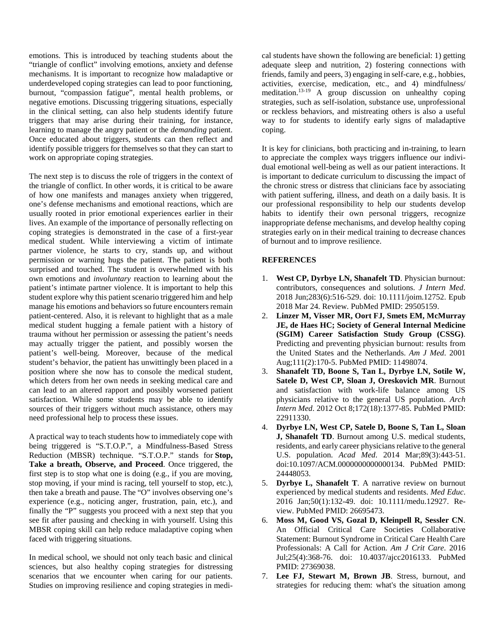emotions. This is introduced by teaching students about the "triangle of conflict" involving emotions, anxiety and defense mechanisms. It is important to recognize how maladaptive or underdeveloped coping strategies can lead to poor functioning, burnout, "compassion fatigue", mental health problems, or negative emotions. Discussing triggering situations, especially in the clinical setting, can also help students identify future triggers that may arise during their training, for instance, learning to manage the angry patient or the *demanding* patient. Once educated about triggers, students can then reflect and identify possible triggers for themselves so that they can start to work on appropriate coping strategies.

The next step is to discuss the role of triggers in the context of the triangle of conflict. In other words, it is critical to be aware of how one manifests and manages anxiety when triggered, one's defense mechanisms and emotional reactions, which are usually rooted in prior emotional experiences earlier in their lives. An example of the importance of personally reflecting on coping strategies is demonstrated in the case of a first-year medical student. While interviewing a victim of intimate partner violence, he starts to cry, stands up, and without permission or warning hugs the patient. The patient is both surprised and touched. The student is overwhelmed with his own emotions and *involuntary* reaction to learning about the patient's intimate partner violence. It is important to help this student explore why this patient scenario triggered him and help manage his emotions and behaviors so future encounters remain patient-centered. Also, it is relevant to highlight that as a male medical student hugging a female patient with a history of trauma without her permission or assessing the patient's needs may actually trigger the patient, and possibly worsen the patient's well-being. Moreover, because of the medical student's behavior, the patient has unwittingly been placed in a position where she now has to console the medical student, which deters from her own needs in seeking medical care and can lead to an altered rapport and possibly worsened patient satisfaction. While some students may be able to identify sources of their triggers without much assistance, others may need professional help to process these issues.

A practical way to teach students how to immediately cope with being triggered is "S.T.O.P.", a Mindfulness-Based Stress Reduction (MBSR) technique. "S.T.O.P." stands for **Stop, Take a breath, Observe, and Proceed**. Once triggered, the first step is to stop what one is doing (e.g., if you are moving, stop moving, if your mind is racing, tell yourself to stop, etc.), then take a breath and pause. The "O" involves observing one's experience (e.g., noticing anger, frustration, pain, etc.), and finally the "P" suggests you proceed with a next step that you see fit after pausing and checking in with yourself. Using this MBSR coping skill can help reduce maladaptive coping when faced with triggering situations.

In medical school, we should not only teach basic and clinical sciences, but also healthy coping strategies for distressing scenarios that we encounter when caring for our patients. Studies on improving resilience and coping strategies in medical students have shown the following are beneficial: 1) getting adequate sleep and nutrition, 2) fostering connections with friends, family and peers, 3) engaging in self-care, e.g., hobbies, activities, exercise, medication, etc., and 4) mindfulness/ meditation.<sup>13-19</sup> A group discussion on unhealthy coping strategies, such as self-isolation, substance use, unprofessional or reckless behaviors, and mistreating others is also a useful way to for students to identify early signs of maladaptive coping.

It is key for clinicians, both practicing and in-training, to learn to appreciate the complex ways triggers influence our individual emotional well-being as well as our patient interactions. It is important to dedicate curriculum to discussing the impact of the chronic stress or distress that clinicians face by associating with patient suffering, illness, and death on a daily basis. It is our professional responsibility to help our students develop habits to identify their own personal triggers, recognize inappropriate defense mechanisms, and develop healthy coping strategies early on in their medical training to decrease chances of burnout and to improve resilience.

## **REFERENCES**

- 1. **West CP, Dyrbye LN, Shanafelt TD**. Physician burnout: contributors, consequences and solutions. *J Intern Med*. 2018 Jun;283(6):516-529. doi: 10.1111/joim.12752. Epub 2018 Mar 24. Review. PubMed PMID: 29505159.
- 2. **Linzer M, Visser MR, Oort FJ, Smets EM, McMurray JE, de Haes HC; Society of General Internal Medicine (SGIM) Career Satisfaction Study Group (CSSG)**. Predicting and preventing physician burnout: results from the United States and the Netherlands. *Am J Med*. 2001 Aug;111(2):170-5. PubMed PMID: 11498074.
- 3. **Shanafelt TD, Boone S, Tan L, Dyrbye LN, Sotile W, Satele D, West CP, Sloan J, Oreskovich MR**. Burnout and satisfaction with work-life balance among US physicians relative to the general US population. *Arch Intern Med*. 2012 Oct 8;172(18):1377-85. PubMed PMID: 22911330.
- 4. **Dyrbye LN, West CP, Satele D, Boone S, Tan L, Sloan J, Shanafelt TD**. Burnout among U.S. medical students, residents, and early career physicians relative to the general U.S. population. *Acad Med*. 2014 Mar;89(3):443-51. doi:10.1097/ACM.0000000000000134. PubMed PMID: 24448053.
- 5. **Dyrbye L, Shanafelt T**. A narrative review on burnout experienced by medical students and residents. *Med Educ*. 2016 Jan;50(1):132-49. doi: 10.1111/medu.12927. Review. PubMed PMID: 26695473.
- 6. **Moss M, Good VS, Gozal D, Kleinpell R, Sessler CN**. An Official Critical Care Societies Collaborative Statement: Burnout Syndrome in Critical Care Health Care Professionals: A Call for Action. *Am J Crit Care*. 2016 Jul;25(4):368-76. doi: 10.4037/ajcc2016133. PubMed PMID: 27369038.
- 7. **Lee FJ, Stewart M, Brown JB**. Stress, burnout, and strategies for reducing them: what's the situation among